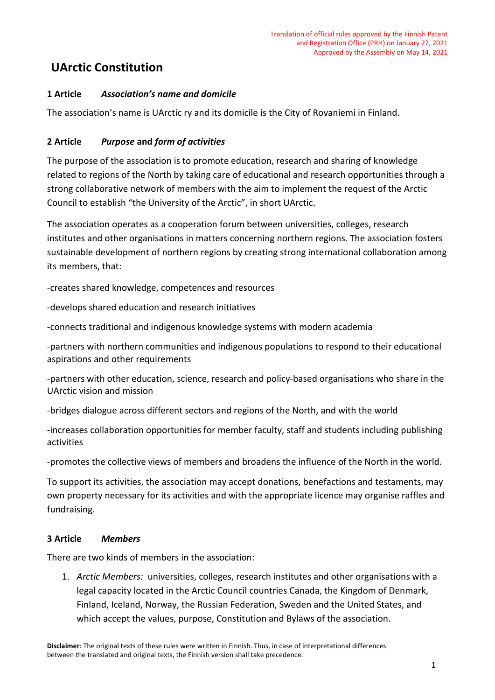# **UArctic Constitution**

## **1 Article** *Association's name and domicile*

The association's name is UArctic ry and its domicile is the City of Rovaniemi in Finland.

### **2 Article** *Purpose* **and** *form of activities*

The purpose of the association is to promote education, research and sharing of knowledge related to regions of the North by taking care of educational and research opportunities through a strong collaborative network of members with the aim to implement the request of the Arctic Council to establish "the University of the Arctic", in short UArctic.

The association operates as a cooperation forum between universities, colleges, research institutes and other organisations in matters concerning northern regions. The association fosters sustainable development of northern regions by creating strong international collaboration among its members, that:

-creates shared knowledge, competences and resources

-develops shared education and research initiatives

-connects traditional and indigenous knowledge systems with modern academia

-partners with northern communities and indigenous populations to respond to their educational aspirations and other requirements

-partners with other education, science, research and policy-based organisations who share in the UArctic vision and mission

-bridges dialogue across different sectors and regions of the North, and with the world

-increases collaboration opportunities for member faculty, staff and students including publishing activities

-promotes the collective views of members and broadens the influence of the North in the world.

To support its activities, the association may accept donations, benefactions and testaments, may own property necessary for its activities and with the appropriate licence may organise raffles and fundraising.

#### **3 Article** *Members*

There are two kinds of members in the association:

1. *Arctic Members:* universities, colleges, research institutes and other organisations with a legal capacity located in the Arctic Council countries Canada, the Kingdom of Denmark, Finland, Iceland, Norway, the Russian Federation, Sweden and the United States, and which accept the values, purpose, Constitution and Bylaws of the association.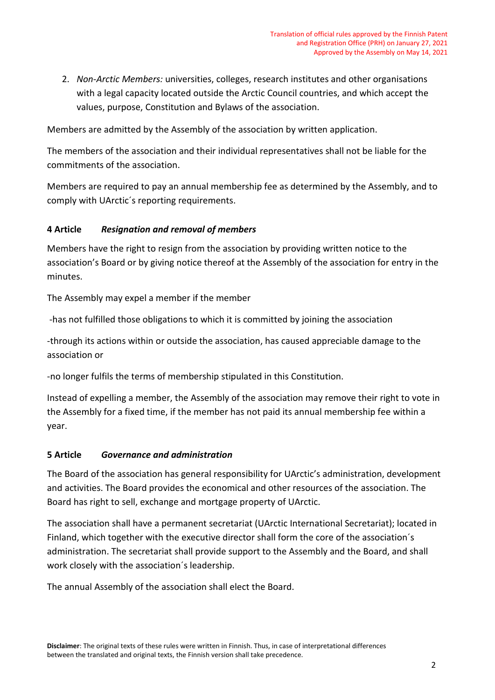2. *Non-Arctic Members:* universities, colleges, research institutes and other organisations with a legal capacity located outside the Arctic Council countries, and which accept the values, purpose, Constitution and Bylaws of the association.

Members are admitted by the Assembly of the association by written application.

The members of the association and their individual representatives shall not be liable for the commitments of the association.

Members are required to pay an annual membership fee as determined by the Assembly, and to comply with UArctic´s reporting requirements.

#### **4 Article** *Resignation and removal of members*

Members have the right to resign from the association by providing written notice to the association's Board or by giving notice thereof at the Assembly of the association for entry in the minutes.

The Assembly may expel a member if the member

-has not fulfilled those obligations to which it is committed by joining the association

-through its actions within or outside the association, has caused appreciable damage to the association or

-no longer fulfils the terms of membership stipulated in this Constitution.

Instead of expelling a member, the Assembly of the association may remove their right to vote in the Assembly for a fixed time, if the member has not paid its annual membership fee within a year.

#### **5 Article** *Governance and administration*

The Board of the association has general responsibility for UArctic's administration, development and activities. The Board provides the economical and other resources of the association. The Board has right to sell, exchange and mortgage property of UArctic.

The association shall have a permanent secretariat (UArctic International Secretariat); located in Finland, which together with the executive director shall form the core of the association´s administration. The secretariat shall provide support to the Assembly and the Board, and shall work closely with the association´s leadership.

The annual Assembly of the association shall elect the Board.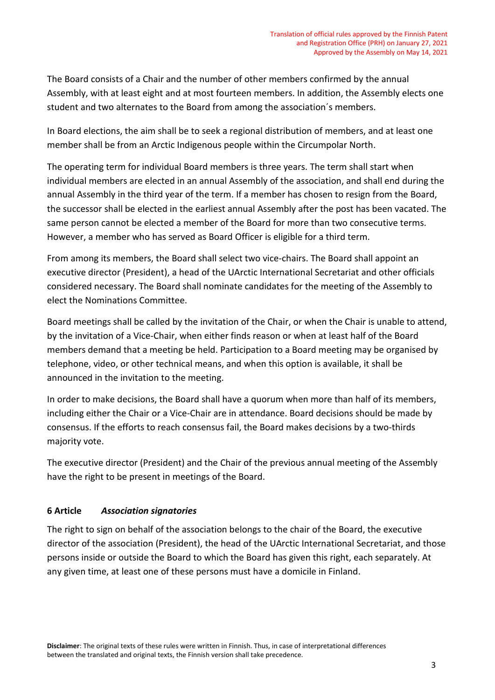The Board consists of a Chair and the number of other members confirmed by the annual Assembly, with at least eight and at most fourteen members. In addition, the Assembly elects one student and two alternates to the Board from among the association´s members.

In Board elections, the aim shall be to seek a regional distribution of members, and at least one member shall be from an Arctic Indigenous people within the Circumpolar North.

The operating term for individual Board members is three years. The term shall start when individual members are elected in an annual Assembly of the association, and shall end during the annual Assembly in the third year of the term. If a member has chosen to resign from the Board, the successor shall be elected in the earliest annual Assembly after the post has been vacated. The same person cannot be elected a member of the Board for more than two consecutive terms. However, a member who has served as Board Officer is eligible for a third term.

From among its members, the Board shall select two vice-chairs. The Board shall appoint an executive director (President), a head of the UArctic International Secretariat and other officials considered necessary. The Board shall nominate candidates for the meeting of the Assembly to elect the Nominations Committee.

Board meetings shall be called by the invitation of the Chair, or when the Chair is unable to attend, by the invitation of a Vice-Chair, when either finds reason or when at least half of the Board members demand that a meeting be held. Participation to a Board meeting may be organised by telephone, video, or other technical means, and when this option is available, it shall be announced in the invitation to the meeting.

In order to make decisions, the Board shall have a quorum when more than half of its members, including either the Chair or a Vice-Chair are in attendance. Board decisions should be made by consensus. If the efforts to reach consensus fail, the Board makes decisions by a two-thirds majority vote.

The executive director (President) and the Chair of the previous annual meeting of the Assembly have the right to be present in meetings of the Board.

# **6 Article** *Association signatories*

The right to sign on behalf of the association belongs to the chair of the Board, the executive director of the association (President), the head of the UArctic International Secretariat, and those persons inside or outside the Board to which the Board has given this right, each separately. At any given time, at least one of these persons must have a domicile in Finland.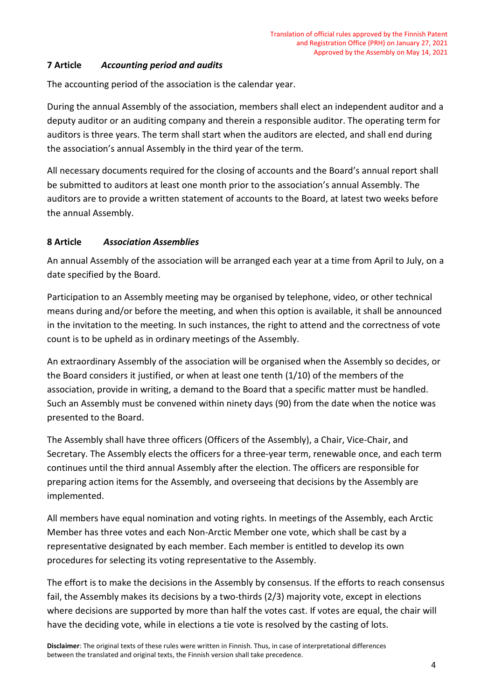### **7 Article** *Accounting period and audits*

The accounting period of the association is the calendar year.

During the annual Assembly of the association, members shall elect an independent auditor and a deputy auditor or an auditing company and therein a responsible auditor. The operating term for auditors is three years. The term shall start when the auditors are elected, and shall end during the association's annual Assembly in the third year of the term.

All necessary documents required for the closing of accounts and the Board's annual report shall be submitted to auditors at least one month prior to the association's annual Assembly. The auditors are to provide a written statement of accounts to the Board, at latest two weeks before the annual Assembly.

### **8 Article** *Association Assemblies*

An annual Assembly of the association will be arranged each year at a time from April to July, on a date specified by the Board.

Participation to an Assembly meeting may be organised by telephone, video, or other technical means during and/or before the meeting, and when this option is available, it shall be announced in the invitation to the meeting. In such instances, the right to attend and the correctness of vote count is to be upheld as in ordinary meetings of the Assembly.

An extraordinary Assembly of the association will be organised when the Assembly so decides, or the Board considers it justified, or when at least one tenth (1/10) of the members of the association, provide in writing, a demand to the Board that a specific matter must be handled. Such an Assembly must be convened within ninety days (90) from the date when the notice was presented to the Board.

The Assembly shall have three officers (Officers of the Assembly), a Chair, Vice-Chair, and Secretary. The Assembly elects the officers for a three-year term, renewable once, and each term continues until the third annual Assembly after the election. The officers are responsible for preparing action items for the Assembly, and overseeing that decisions by the Assembly are implemented.

All members have equal nomination and voting rights. In meetings of the Assembly, each Arctic Member has three votes and each Non-Arctic Member one vote, which shall be cast by a representative designated by each member. Each member is entitled to develop its own procedures for selecting its voting representative to the Assembly.

The effort is to make the decisions in the Assembly by consensus. If the efforts to reach consensus fail, the Assembly makes its decisions by a two-thirds (2/3) majority vote, except in elections where decisions are supported by more than half the votes cast. If votes are equal, the chair will have the deciding vote, while in elections a tie vote is resolved by the casting of lots.

**Disclaimer**: The original texts of these rules were written in Finnish. Thus, in case of interpretational differences between the translated and original texts, the Finnish version shall take precedence.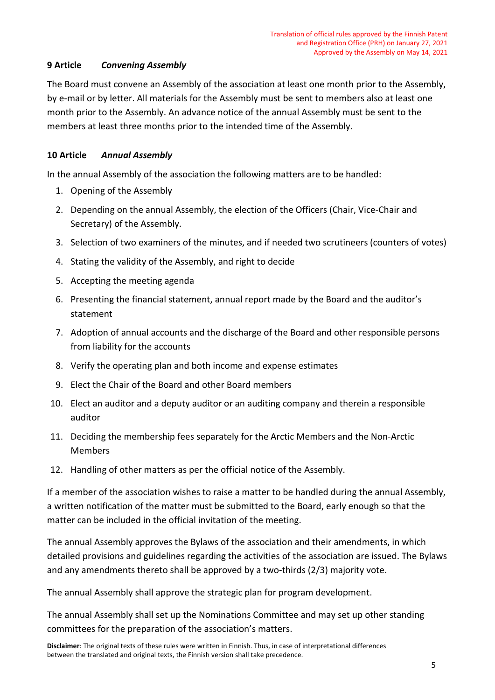### **9 Article** *Convening Assembly*

The Board must convene an Assembly of the association at least one month prior to the Assembly, by e-mail or by letter. All materials for the Assembly must be sent to members also at least one month prior to the Assembly. An advance notice of the annual Assembly must be sent to the members at least three months prior to the intended time of the Assembly.

### **10 Article** *Annual Assembly*

In the annual Assembly of the association the following matters are to be handled:

- 1. Opening of the Assembly
- 2. Depending on the annual Assembly, the election of the Officers (Chair, Vice-Chair and Secretary) of the Assembly.
- 3. Selection of two examiners of the minutes, and if needed two scrutineers (counters of votes)
- 4. Stating the validity of the Assembly, and right to decide
- 5. Accepting the meeting agenda
- 6. Presenting the financial statement, annual report made by the Board and the auditor's statement
- 7. Adoption of annual accounts and the discharge of the Board and other responsible persons from liability for the accounts
- 8. Verify the operating plan and both income and expense estimates
- 9. Elect the Chair of the Board and other Board members
- 10. Elect an auditor and a deputy auditor or an auditing company and therein a responsible auditor
- 11. Deciding the membership fees separately for the Arctic Members and the Non-Arctic Members
- 12. Handling of other matters as per the official notice of the Assembly.

If a member of the association wishes to raise a matter to be handled during the annual Assembly, a written notification of the matter must be submitted to the Board, early enough so that the matter can be included in the official invitation of the meeting.

The annual Assembly approves the Bylaws of the association and their amendments, in which detailed provisions and guidelines regarding the activities of the association are issued. The Bylaws and any amendments thereto shall be approved by a two-thirds (2/3) majority vote.

The annual Assembly shall approve the strategic plan for program development.

The annual Assembly shall set up the Nominations Committee and may set up other standing committees for the preparation of the association's matters.

**Disclaimer**: The original texts of these rules were written in Finnish. Thus, in case of interpretational differences between the translated and original texts, the Finnish version shall take precedence.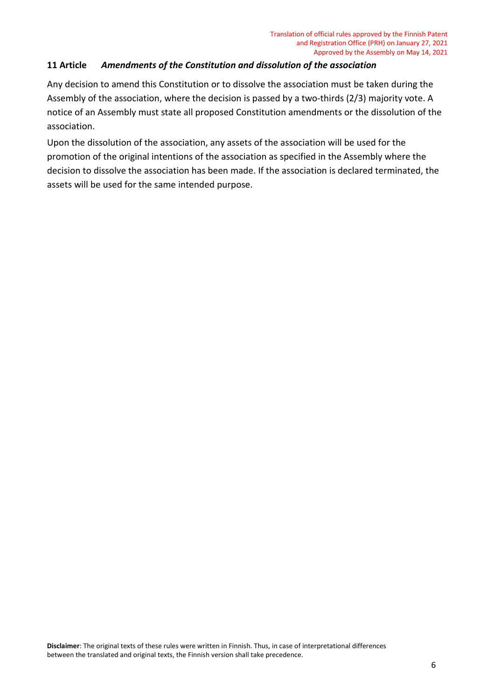### **11 Article** *Amendments of the Constitution and dissolution of the association*

Any decision to amend this Constitution or to dissolve the association must be taken during the Assembly of the association, where the decision is passed by a two-thirds (2/3) majority vote. A notice of an Assembly must state all proposed Constitution amendments or the dissolution of the association.

Upon the dissolution of the association, any assets of the association will be used for the promotion of the original intentions of the association as specified in the Assembly where the decision to dissolve the association has been made. If the association is declared terminated, the assets will be used for the same intended purpose.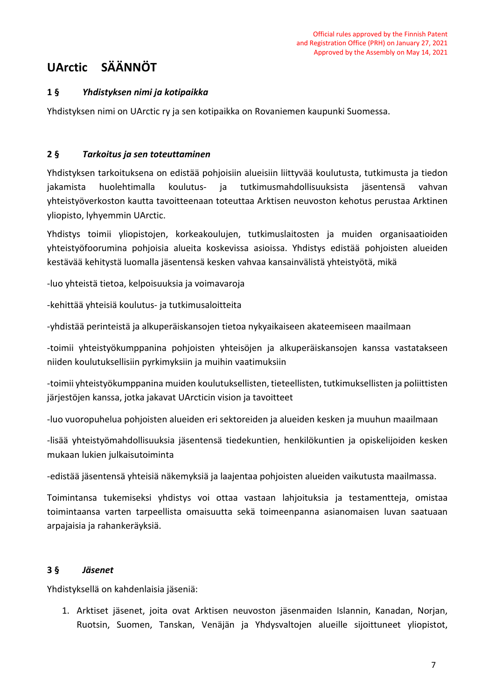# **UArctic SÄÄNNÖT**

## **1 §** *Yhdistyksen nimi ja kotipaikka*

Yhdistyksen nimi on UArctic ry ja sen kotipaikka on Rovaniemen kaupunki Suomessa.

### **2 §** *Tarkoitus ja sen toteuttaminen*

Yhdistyksen tarkoituksena on edistää pohjoisiin alueisiin liittyvää koulutusta, tutkimusta ja tiedon jakamista huolehtimalla koulutus- ja tutkimusmahdollisuuksista jäsentensä vahvan yhteistyöverkoston kautta tavoitteenaan toteuttaa Arktisen neuvoston kehotus perustaa Arktinen yliopisto, lyhyemmin UArctic.

Yhdistys toimii yliopistojen, korkeakoulujen, tutkimuslaitosten ja muiden organisaatioiden yhteistyöfoorumina pohjoisia alueita koskevissa asioissa. Yhdistys edistää pohjoisten alueiden kestävää kehitystä luomalla jäsentensä kesken vahvaa kansainvälistä yhteistyötä, mikä

-luo yhteistä tietoa, kelpoisuuksia ja voimavaroja

-kehittää yhteisiä koulutus- ja tutkimusaloitteita

-yhdistää perinteistä ja alkuperäiskansojen tietoa nykyaikaiseen akateemiseen maailmaan

-toimii yhteistyökumppanina pohjoisten yhteisöjen ja alkuperäiskansojen kanssa vastatakseen niiden koulutuksellisiin pyrkimyksiin ja muihin vaatimuksiin

-toimii yhteistyökumppanina muiden koulutuksellisten, tieteellisten, tutkimuksellisten ja poliittisten järjestöjen kanssa, jotka jakavat UArcticin vision ja tavoitteet

-luo vuoropuhelua pohjoisten alueiden eri sektoreiden ja alueiden kesken ja muuhun maailmaan

-lisää yhteistyömahdollisuuksia jäsentensä tiedekuntien, henkilökuntien ja opiskelijoiden kesken mukaan lukien julkaisutoiminta

-edistää jäsentensä yhteisiä näkemyksiä ja laajentaa pohjoisten alueiden vaikutusta maailmassa.

Toimintansa tukemiseksi yhdistys voi ottaa vastaan lahjoituksia ja testamentteja, omistaa toimintaansa varten tarpeellista omaisuutta sekä toimeenpanna asianomaisen luvan saatuaan arpajaisia ja rahankeräyksiä.

#### **3 §** *Jäsenet*

Yhdistyksellä on kahdenlaisia jäseniä:

1. Arktiset jäsenet, joita ovat Arktisen neuvoston jäsenmaiden Islannin, Kanadan, Norjan, Ruotsin, Suomen, Tanskan, Venäjän ja Yhdysvaltojen alueille sijoittuneet yliopistot,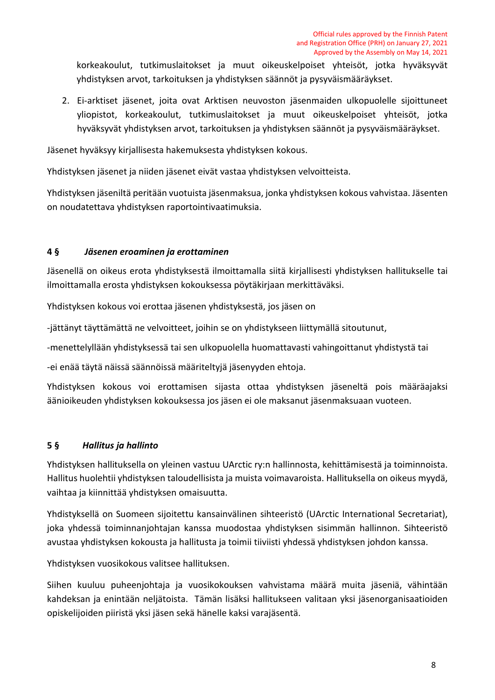korkeakoulut, tutkimuslaitokset ja muut oikeuskelpoiset yhteisöt, jotka hyväksyvät yhdistyksen arvot, tarkoituksen ja yhdistyksen säännöt ja pysyväismääräykset.

2. Ei-arktiset jäsenet, joita ovat Arktisen neuvoston jäsenmaiden ulkopuolelle sijoittuneet yliopistot, korkeakoulut, tutkimuslaitokset ja muut oikeuskelpoiset yhteisöt, jotka hyväksyvät yhdistyksen arvot, tarkoituksen ja yhdistyksen säännöt ja pysyväismääräykset.

Jäsenet hyväksyy kirjallisesta hakemuksesta yhdistyksen kokous.

Yhdistyksen jäsenet ja niiden jäsenet eivät vastaa yhdistyksen velvoitteista.

Yhdistyksen jäseniltä peritään vuotuista jäsenmaksua, jonka yhdistyksen kokous vahvistaa. Jäsenten on noudatettava yhdistyksen raportointivaatimuksia.

### **4 §** *Jäsenen eroaminen ja erottaminen*

Jäsenellä on oikeus erota yhdistyksestä ilmoittamalla siitä kirjallisesti yhdistyksen hallitukselle tai ilmoittamalla erosta yhdistyksen kokouksessa pöytäkirjaan merkittäväksi.

Yhdistyksen kokous voi erottaa jäsenen yhdistyksestä, jos jäsen on

-jättänyt täyttämättä ne velvoitteet, joihin se on yhdistykseen liittymällä sitoutunut,

-menettelyllään yhdistyksessä tai sen ulkopuolella huomattavasti vahingoittanut yhdistystä tai

-ei enää täytä näissä säännöissä määriteltyjä jäsenyyden ehtoja.

Yhdistyksen kokous voi erottamisen sijasta ottaa yhdistyksen jäseneltä pois määräajaksi äänioikeuden yhdistyksen kokouksessa jos jäsen ei ole maksanut jäsenmaksuaan vuoteen.

# **5 §** *Hallitus ja hallinto*

Yhdistyksen hallituksella on yleinen vastuu UArctic ry:n hallinnosta, kehittämisestä ja toiminnoista. Hallitus huolehtii yhdistyksen taloudellisista ja muista voimavaroista. Hallituksella on oikeus myydä, vaihtaa ja kiinnittää yhdistyksen omaisuutta.

Yhdistyksellä on Suomeen sijoitettu kansainvälinen sihteeristö (UArctic International Secretariat), joka yhdessä toiminnanjohtajan kanssa muodostaa yhdistyksen sisimmän hallinnon. Sihteeristö avustaa yhdistyksen kokousta ja hallitusta ja toimii tiiviisti yhdessä yhdistyksen johdon kanssa.

Yhdistyksen vuosikokous valitsee hallituksen.

Siihen kuuluu puheenjohtaja ja vuosikokouksen vahvistama määrä muita jäseniä, vähintään kahdeksan ja enintään neljätoista. Tämän lisäksi hallitukseen valitaan yksi jäsenorganisaatioiden opiskelijoiden piiristä yksi jäsen sekä hänelle kaksi varajäsentä.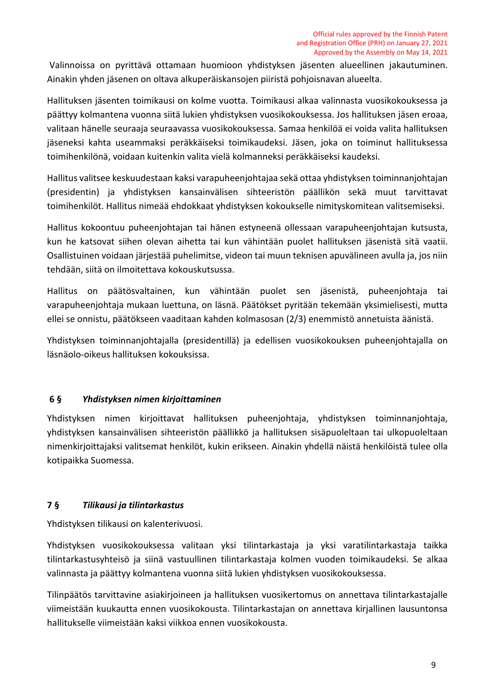Valinnoissa on pyrittävä ottamaan huomioon yhdistyksen jäsenten alueellinen jakautuminen. Ainakin yhden jäsenen on oltava alkuperäiskansojen piiristä pohjoisnavan alueelta.

Hallituksen jäsenten toimikausi on kolme vuotta. Toimikausi alkaa valinnasta vuosikokouksessa ja päättyy kolmantena vuonna siitä lukien yhdistyksen vuosikokouksessa. Jos hallituksen jäsen eroaa, valitaan hänelle seuraaja seuraavassa vuosikokouksessa. Samaa henkilöä ei voida valita hallituksen jäseneksi kahta useammaksi peräkkäiseksi toimikaudeksi. Jäsen, joka on toiminut hallituksessa toimihenkilönä, voidaan kuitenkin valita vielä kolmanneksi peräkkäiseksi kaudeksi.

Hallitus valitsee keskuudestaan kaksi varapuheenjohtajaa sekä ottaa yhdistyksen toiminnanjohtajan (presidentin) ja yhdistyksen kansainvälisen sihteeristön päällikön sekä muut tarvittavat toimihenkilöt. Hallitus nimeää ehdokkaat yhdistyksen kokoukselle nimityskomitean valitsemiseksi.

Hallitus kokoontuu puheenjohtajan tai hänen estyneenä ollessaan varapuheenjohtajan kutsusta, kun he katsovat siihen olevan aihetta tai kun vähintään puolet hallituksen jäsenistä sitä vaatii. Osallistuinen voidaan järjestää puhelimitse, videon tai muun teknisen apuvälineen avulla ja, jos niin tehdään, siitä on ilmoitettava kokouskutsussa.

Hallitus on päätösvaltainen, kun vähintään puolet sen jäsenistä, puheenjohtaja tai varapuheenjohtaja mukaan luettuna, on läsnä. Päätökset pyritään tekemään yksimielisesti, mutta ellei se onnistu, päätökseen vaaditaan kahden kolmasosan (2/3) enemmistö annetuista äänistä.

Yhdistyksen toiminnanjohtajalla (presidentillä) ja edellisen vuosikokouksen puheenjohtajalla on läsnäolo-oikeus hallituksen kokouksissa.

# **6 §** *Yhdistyksen nimen kirjoittaminen*

Yhdistyksen nimen kirjoittavat hallituksen puheenjohtaja, yhdistyksen toiminnanjohtaja, yhdistyksen kansainvälisen sihteeristön päällikkö ja hallituksen sisäpuoleltaan tai ulkopuoleltaan nimenkirjoittajaksi valitsemat henkilöt, kukin erikseen. Ainakin yhdellä näistä henkilöistä tulee olla kotipaikka Suomessa.

# **7 §** *Tilikausi ja tilintarkastus*

Yhdistyksen tilikausi on kalenterivuosi.

Yhdistyksen vuosikokouksessa valitaan yksi tilintarkastaja ja yksi varatilintarkastaja taikka tilintarkastusyhteisö ja siinä vastuullinen tilintarkastaja kolmen vuoden toimikaudeksi. Se alkaa valinnasta ja päättyy kolmantena vuonna siitä lukien yhdistyksen vuosikokouksessa.

Tilinpäätös tarvittavine asiakirjoineen ja hallituksen vuosikertomus on annettava tilintarkastajalle viimeistään kuukautta ennen vuosikokousta. Tilintarkastajan on annettava kirjallinen lausuntonsa hallitukselle viimeistään kaksi viikkoa ennen vuosikokousta.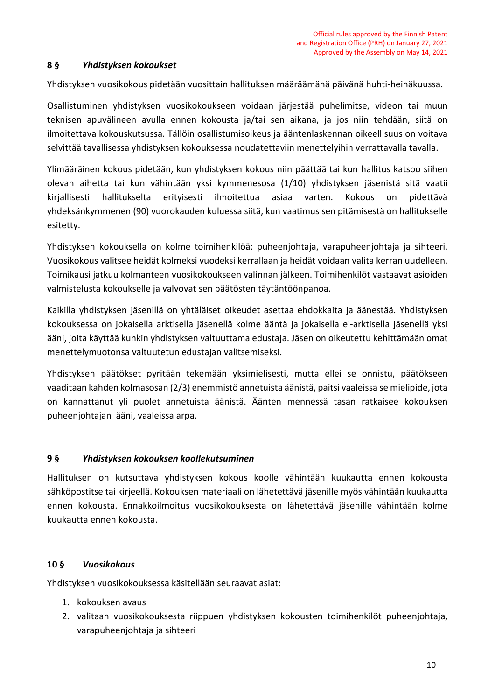#### **8 §** *Yhdistyksen kokoukset*

Yhdistyksen vuosikokous pidetään vuosittain hallituksen määräämänä päivänä huhti-heinäkuussa.

Osallistuminen yhdistyksen vuosikokoukseen voidaan järjestää puhelimitse, videon tai muun teknisen apuvälineen avulla ennen kokousta ja/tai sen aikana, ja jos niin tehdään, siitä on ilmoitettava kokouskutsussa. Tällöin osallistumisoikeus ja ääntenlaskennan oikeellisuus on voitava selvittää tavallisessa yhdistyksen kokouksessa noudatettaviin menettelyihin verrattavalla tavalla.

Ylimääräinen kokous pidetään, kun yhdistyksen kokous niin päättää tai kun hallitus katsoo siihen olevan aihetta tai kun vähintään yksi kymmenesosa (1/10) yhdistyksen jäsenistä sitä vaatii kirjallisesti hallitukselta erityisesti ilmoitettua asiaa varten. Kokous on pidettävä yhdeksänkymmenen (90) vuorokauden kuluessa siitä, kun vaatimus sen pitämisestä on hallitukselle esitetty.

Yhdistyksen kokouksella on kolme toimihenkilöä: puheenjohtaja, varapuheenjohtaja ja sihteeri. Vuosikokous valitsee heidät kolmeksi vuodeksi kerrallaan ja heidät voidaan valita kerran uudelleen. Toimikausi jatkuu kolmanteen vuosikokoukseen valinnan jälkeen. Toimihenkilöt vastaavat asioiden valmistelusta kokoukselle ja valvovat sen päätösten täytäntöönpanoa.

Kaikilla yhdistyksen jäsenillä on yhtäläiset oikeudet asettaa ehdokkaita ja äänestää. Yhdistyksen kokouksessa on jokaisella arktisella jäsenellä kolme ääntä ja jokaisella ei-arktisella jäsenellä yksi ääni, joita käyttää kunkin yhdistyksen valtuuttama edustaja. Jäsen on oikeutettu kehittämään omat menettelymuotonsa valtuutetun edustajan valitsemiseksi.

Yhdistyksen päätökset pyritään tekemään yksimielisesti, mutta ellei se onnistu, päätökseen vaaditaan kahden kolmasosan (2/3) enemmistö annetuista äänistä, paitsi vaaleissa se mielipide, jota on kannattanut yli puolet annetuista äänistä. Äänten mennessä tasan ratkaisee kokouksen puheenjohtajan ääni, vaaleissa arpa.

#### **9 §** *Yhdistyksen kokouksen koollekutsuminen*

Hallituksen on kutsuttava yhdistyksen kokous koolle vähintään kuukautta ennen kokousta sähköpostitse tai kirjeellä. Kokouksen materiaali on lähetettävä jäsenille myös vähintään kuukautta ennen kokousta. Ennakkoilmoitus vuosikokouksesta on lähetettävä jäsenille vähintään kolme kuukautta ennen kokousta.

#### **10 §** *Vuosikokous*

Yhdistyksen vuosikokouksessa käsitellään seuraavat asiat:

- 1. kokouksen avaus
- 2. valitaan vuosikokouksesta riippuen yhdistyksen kokousten toimihenkilöt puheenjohtaja, varapuheenjohtaja ja sihteeri